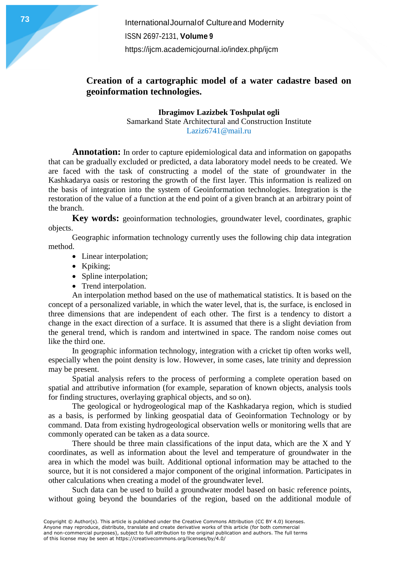**International Journal of Cultureand Modernity** ISSN 2697-2131, **Volume 9** <https://ijcm.academicjournal.io/index.php/ijcm>

## **Creation of a cartographic model of a water cadastre based on geoinformation technologies.**

**Ibragimov Lazizbek Toshpulat ogli** Samarkand State Architectural and Construction Institute Laziz6741@mail.ru

**Annotation:** In order to capture epidemiological data and information on gapopaths that can be gradually excluded or predicted, a data laboratory model needs to be created. We are faced with the task of constructing a model of the state of groundwater in the Kashkadarya oasis or restoring the growth of the first layer. This information is realized on the basis of integration into the system of Geoinformation technologies. Integration is the restoration of the value of a function at the end point of a given branch at an arbitrary point of the branch.

**Key words:** geoinformation technologies, groundwater level, coordinates, graphic objects.

Geographic information technology currently uses the following chip data integration method.

- Linear interpolation;
- Kpiking;
- Spline interpolation;
- Trend interpolation.

An interpolation method based on the use of mathematical statistics. It is based on the concept of a personalized variable, in which the water level, that is, the surface, is enclosed in three dimensions that are independent of each other. The first is a tendency to distort a change in the exact direction of a surface. It is assumed that there is a slight deviation from the general trend, which is random and intertwined in space. The random noise comes out like the third one.

In geographic information technology, integration with a cricket tip often works well, especially when the point density is low. However, in some cases, late trinity and depression may be present.

Spatial analysis refers to the process of performing a complete operation based on spatial and attributive information (for example, separation of known objects, analysis tools for finding structures, overlaying graphical objects, and so on).

The geological or hydrogeological map of the Kashkadarya region, which is studied as a basis, is performed by linking geospatial data of Geoinformation Technology or by command. Data from existing hydrogeological observation wells or monitoring wells that are commonly operated can be taken as a data source.

There should be three main classifications of the input data, which are the X and Y coordinates, as well as information about the level and temperature of groundwater in the area in which the model was built. Additional optional information may be attached to the source, but it is not considered a major component of the original information. Participates in other calculations when creating a model of the groundwater level.

Such data can be used to build a groundwater model based on basic reference points, without going beyond the boundaries of the region, based on the additional module of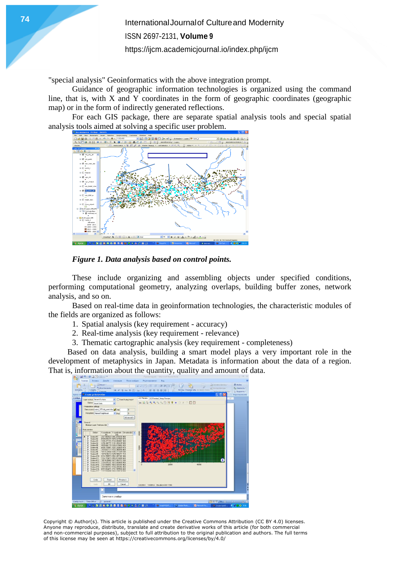**International Journal of Cultureand Modernity** ISSN 2697-2131, **Volume 9** <https://ijcm.academicjournal.io/index.php/ijcm>

"special analysis" Geoinformatics with the above integration prompt.

Guidance of geographic information technologies is organized using the command line, that is, with X and Y coordinates in the form of geographic coordinates (geographic map) or in the form of indirectly generated reflections.

For each GIS package, there are separate spatial analysis tools and special spatial analysis tools aimed at solving a specific user problem.





These include organizing and assembling objects under specified conditions, performing computational geometry, analyzing overlaps, building buffer zones, network analysis, and so on.

Based on real-time data in geoinformation technologies, the characteristic modules of the fields are organized as follows:

1. Spatial analysis (key requirement - accuracy)

2. Real-time analysis (key requirement - relevance)

3. Thematic cartographic analysis (key requirement - completeness)

Based on data analysis, building a smart model plays a very important role in the development of metaphysics in Japan. Metadata is information about the data of a region. That is, information about the quantity, quality and amount of data.



Copyright © Author(s). This article is published under the Creative Commons Attribution (CC BY 4.0) licenses. Anyone may reproduce, distribute, translate and create derivative works of this article (for both commercial and non-commercial purposes), subject to full attribution to the original publication and authors. The full terms of this license may be seen at https://creativecommons.org/licenses/by/4.0/